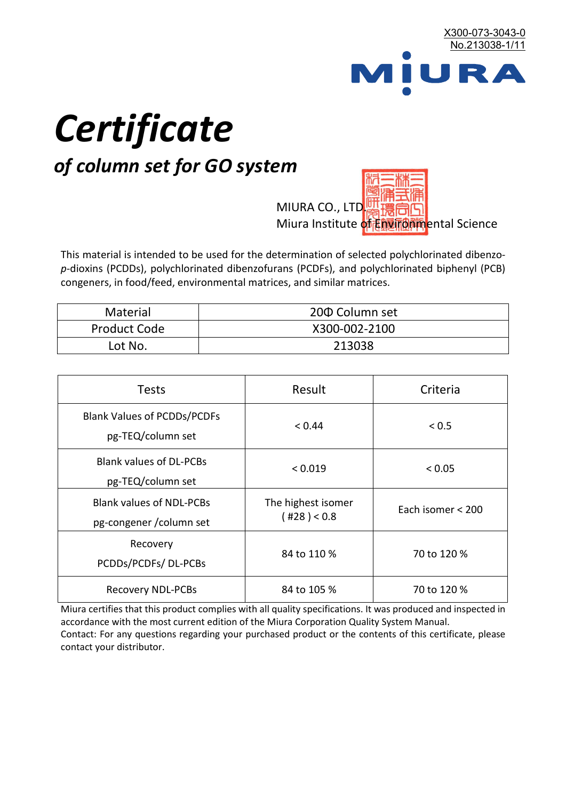

# *Certificate*

## *of column set for GO system*

MIURA CO., LTD. Miura Institute of 正版而解ental Science

This material is intended to be used for the determination of selected polychlorinated dibenzo*p*-dioxins (PCDDs), polychlorinated dibenzofurans (PCDFs), and polychlorinated biphenyl (PCB) congeners, in food/feed, environmental matrices, and similar matrices.

| <b>Material</b>     | 200 Column set |
|---------------------|----------------|
| <b>Product Code</b> | X300-002-2100  |
| Lot No.             | 213038         |

| <b>Tests</b>                                                | Result                            | Criteria          |  |
|-------------------------------------------------------------|-----------------------------------|-------------------|--|
| <b>Blank Values of PCDDs/PCDFs</b><br>pg-TEQ/column set     | < 0.44                            | < 0.5             |  |
| <b>Blank values of DL-PCBs</b><br>pg-TEQ/column set         | < 0.019                           | < 0.05            |  |
| <b>Blank values of NDL-PCBs</b><br>pg-congener / column set | The highest isomer<br>(428) < 0.8 | Each isomer < 200 |  |
| Recovery<br>PCDDs/PCDFs/DL-PCBs                             | 84 to 110 %                       | 70 to 120 %       |  |
| <b>Recovery NDL-PCBs</b>                                    | 84 to 105 %                       | 70 to 120 %       |  |

Miura certifies that this product complies with all quality specifications. It was produced and inspected in accordance with the most current edition of the Miura Corporation Quality System Manual. Contact: For any questions regarding your purchased product or the contents of this certificate, please contact your distributor.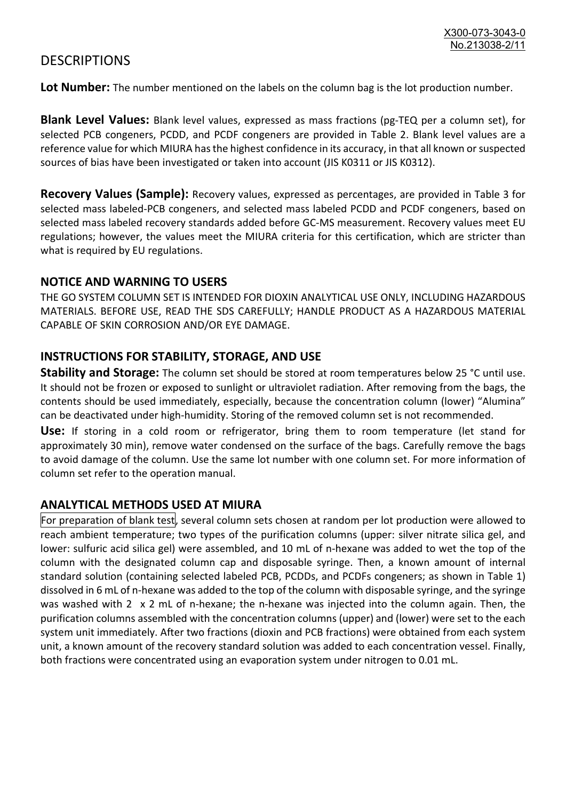### **DESCRIPTIONS**

**Lot Number:** The number mentioned on the labels on the column bag is the lot production number.

**Blank Level Values:** Blank level values, expressed as mass fractions (pg-TEQ per a column set), for selected PCB congeners, PCDD, and PCDF congeners are provided in Table 2. Blank level values are a reference value for which MIURA has the highest confidence in its accuracy, in that all known or suspected sources of bias have been investigated or taken into account (JIS K0311 or JIS K0312).

**Recovery Values (Sample):** Recovery values, expressed as percentages, are provided in Table 3 for selected mass labeled-PCB congeners, and selected mass labeled PCDD and PCDF congeners, based on selected mass labeled recovery standards added before GC-MS measurement. Recovery values meet EU regulations; however, the values meet the MIURA criteria for this certification, which are stricter than what is required by EU regulations.

#### **NOTICE AND WARNING TO USERS**

THE GO SYSTEM COLUMN SET IS INTENDED FOR DIOXIN ANALYTICAL USE ONLY, INCLUDING HAZARDOUS MATERIALS. BEFORE USE, READ THE SDS CAREFULLY; HANDLE PRODUCT AS A HAZARDOUS MATERIAL CAPABLE OF SKIN CORROSION AND/OR EYE DAMAGE.

#### **INSTRUCTIONS FOR STABILITY, STORAGE, AND USE**

**Stability and Storage:** The column set should be stored at room temperatures below 25 °C until use. It should not be frozen or exposed to sunlight or ultraviolet radiation. After removing from the bags, the contents should be used immediately, especially, because the concentration column (lower) "Alumina" can be deactivated under high-humidity. Storing of the removed column set is not recommended.

**Use:** If storing in a cold room or refrigerator, bring them to room temperature (let stand for approximately 30 min), remove water condensed on the surface of the bags. Carefully remove the bags to avoid damage of the column. Use the same lot number with one column set. For more information of column set refer to the operation manual.

#### **ANALYTICAL METHODS USED AT MIURA**

For preparation of blank test, several column sets chosen at random per lot production were allowed to reach ambient temperature; two types of the purification columns (upper: silver nitrate silica gel, and lower: sulfuric acid silica gel) were assembled, and 10 mL of n-hexane was added to wet the top of the column with the designated column cap and disposable syringe. Then, a known amount of internal standard solution (containing selected labeled PCB, PCDDs, and PCDFs congeners; as shown in Table 1) dissolved in 6 mL of n-hexane was added to the top of the column with disposable syringe, and the syringe was washed with 2 x 2 mL of n-hexane; the n-hexane was injected into the column again. Then, the purification columns assembled with the concentration columns (upper) and (lower) were set to the each system unit immediately. After two fractions (dioxin and PCB fractions) were obtained from each system unit, a known amount of the recovery standard solution was added to each concentration vessel. Finally, both fractions were concentrated using an evaporation system under nitrogen to 0.01 mL.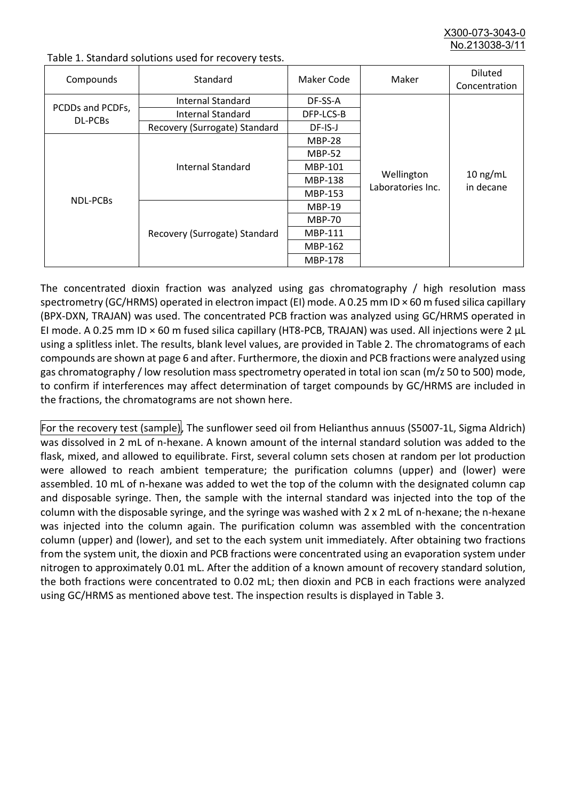X300-073-3043-0 No.213038-3/

| Compounds                   | Standard                      | Maker Code     | Maker                           | <b>Diluted</b><br>Concentration |
|-----------------------------|-------------------------------|----------------|---------------------------------|---------------------------------|
| PCDDs and PCDFs,<br>DL-PCBs | Internal Standard             | DF-SS-A        |                                 | $10$ ng/mL<br>in decane         |
|                             | <b>Internal Standard</b>      | DFP-LCS-B      |                                 |                                 |
|                             | Recovery (Surrogate) Standard | DF-IS-J        |                                 |                                 |
| <b>NDL-PCBs</b>             | Internal Standard             | <b>MBP-28</b>  | Wellington<br>Laboratories Inc. |                                 |
|                             |                               | <b>MBP-52</b>  |                                 |                                 |
|                             |                               | MBP-101        |                                 |                                 |
|                             |                               | <b>MBP-138</b> |                                 |                                 |
|                             |                               | MBP-153        |                                 |                                 |
|                             | Recovery (Surrogate) Standard | <b>MBP-19</b>  |                                 |                                 |
|                             |                               | <b>MBP-70</b>  |                                 |                                 |
|                             |                               | MBP-111        |                                 |                                 |
|                             |                               | MBP-162        |                                 |                                 |
|                             |                               | <b>MBP-178</b> |                                 |                                 |

Table 1. Standard solutions used for recovery tests.

The concentrated dioxin fraction was analyzed using gas chromatography / high resolution mass spectrometry (GC/HRMS) operated in electron impact (EI) mode. A 0.25 mm ID × 60 m fused silica capillary (BPX-DXN, TRAJAN) was used. The concentrated PCB fraction was analyzed using GC/HRMS operated in EI mode. A 0.25 mm ID × 60 m fused silica capillary (HT8-PCB, TRAJAN) was used. All injections were 2 μL using a splitless inlet. The results, blank level values, are provided in Table 2. The chromatograms of each compounds are shown at page 6 and after. Furthermore, the dioxin and PCB fractions were analyzed using gas chromatography / low resolution mass spectrometry operated in total ion scan (m/z 50 to 500) mode, to confirm if interferences may affect determination of target compounds by GC/HRMS are included in the fractions, the chromatograms are not shown here.

For the recovery test (sample), The sunflower seed oil from Helianthus annuus (S5007-1L, Sigma Aldrich) was dissolved in 2 mL of n-hexane. A known amount of the internal standard solution was added to the flask, mixed, and allowed to equilibrate. First, several column sets chosen at random per lot production were allowed to reach ambient temperature; the purification columns (upper) and (lower) were assembled. 10 mL of n-hexane was added to wet the top of the column with the designated column cap and disposable syringe. Then, the sample with the internal standard was injected into the top of the column with the disposable syringe, and the syringe was washed with 2 x 2 mL of n-hexane; the n-hexane was injected into the column again. The purification column was assembled with the concentration column (upper) and (lower), and set to the each system unit immediately. After obtaining two fractions from the system unit, the dioxin and PCB fractions were concentrated using an evaporation system under nitrogen to approximately 0.01 mL. After the addition of a known amount of recovery standard solution, the both fractions were concentrated to 0.02 mL; then dioxin and PCB in each fractions were analyzed using GC/HRMS as mentioned above test. The inspection results is displayed in Table 3.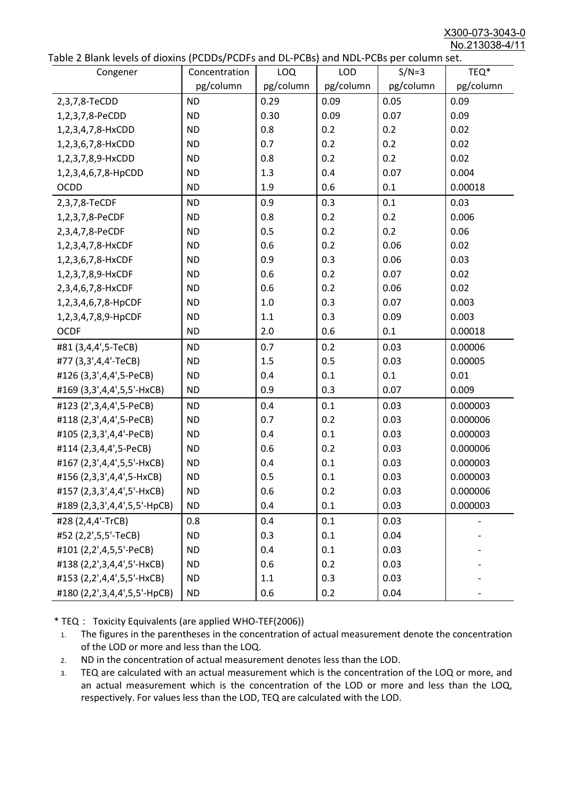X300-073-3043-0 No.213038-4/11

|  |  | Table 2 Blank levels of dioxins (PCDDs/PCDFs and DL-PCBs) and NDL-PCBs per column set. |
|--|--|----------------------------------------------------------------------------------------|
|--|--|----------------------------------------------------------------------------------------|

| abic 2 Diarik icveis of dioxins (I CDD3/TCDTs and DET CD3/ and NDET CD3 pcr column sett.<br>Congener | Concentration | LOQ       | <b>LOD</b> | $S/N=3$   | TEQ*      |
|------------------------------------------------------------------------------------------------------|---------------|-----------|------------|-----------|-----------|
|                                                                                                      | pg/column     | pg/column | pg/column  | pg/column | pg/column |
| 2,3,7,8-TeCDD                                                                                        | <b>ND</b>     | 0.29      | 0.09       | 0.05      | 0.09      |
| 1,2,3,7,8-PeCDD                                                                                      | <b>ND</b>     | 0.30      | 0.09       | 0.07      | 0.09      |
| 1,2,3,4,7,8-HxCDD                                                                                    | <b>ND</b>     | 0.8       | 0.2        | 0.2       | 0.02      |
| 1,2,3,6,7,8-HxCDD                                                                                    | <b>ND</b>     | 0.7       | 0.2        | 0.2       | 0.02      |
| 1,2,3,7,8,9-HxCDD                                                                                    | <b>ND</b>     | 0.8       | 0.2        | 0.2       | 0.02      |
| 1,2,3,4,6,7,8-HpCDD                                                                                  | <b>ND</b>     | 1.3       | 0.4        | 0.07      | 0.004     |
| <b>OCDD</b>                                                                                          | <b>ND</b>     | 1.9       | 0.6        | 0.1       | 0.00018   |
| 2,3,7,8-TeCDF                                                                                        | <b>ND</b>     | 0.9       | 0.3        | 0.1       | 0.03      |
| 1,2,3,7,8-PeCDF                                                                                      | <b>ND</b>     | 0.8       | 0.2        | 0.2       | 0.006     |
| 2,3,4,7,8-PeCDF                                                                                      | <b>ND</b>     | 0.5       | 0.2        | 0.2       | 0.06      |
| 1,2,3,4,7,8-HxCDF                                                                                    | <b>ND</b>     | 0.6       | 0.2        | 0.06      | 0.02      |
| 1,2,3,6,7,8-HxCDF                                                                                    | <b>ND</b>     | 0.9       | 0.3        | 0.06      | 0.03      |
| 1,2,3,7,8,9-HxCDF                                                                                    | <b>ND</b>     | 0.6       | 0.2        | 0.07      | 0.02      |
| 2,3,4,6,7,8-HxCDF                                                                                    | <b>ND</b>     | 0.6       | 0.2        | 0.06      | 0.02      |
| 1,2,3,4,6,7,8-HpCDF                                                                                  | <b>ND</b>     | 1.0       | 0.3        | 0.07      | 0.003     |
| 1,2,3,4,7,8,9-HpCDF                                                                                  | <b>ND</b>     | 1.1       | 0.3        | 0.09      | 0.003     |
| <b>OCDF</b>                                                                                          | <b>ND</b>     | 2.0       | 0.6        | 0.1       | 0.00018   |
| #81 (3,4,4',5-TeCB)                                                                                  | <b>ND</b>     | 0.7       | 0.2        | 0.03      | 0.00006   |
| #77 (3,3',4,4'-TeCB)                                                                                 | <b>ND</b>     | 1.5       | 0.5        | 0.03      | 0.00005   |
| #126 (3,3',4,4',5-PeCB)                                                                              | <b>ND</b>     | 0.4       | 0.1        | 0.1       | 0.01      |
| #169 (3,3',4,4',5,5'-HxCB)                                                                           | <b>ND</b>     | 0.9       | 0.3        | 0.07      | 0.009     |
| #123 (2',3,4,4',5-PeCB)                                                                              | <b>ND</b>     | 0.4       | 0.1        | 0.03      | 0.000003  |
| #118 (2,3',4,4',5-PeCB)                                                                              | <b>ND</b>     | 0.7       | 0.2        | 0.03      | 0.000006  |
| #105 (2,3,3',4,4'-PeCB)                                                                              | <b>ND</b>     | 0.4       | 0.1        | 0.03      | 0.000003  |
| #114 (2,3,4,4',5-PeCB)                                                                               | <b>ND</b>     | 0.6       | 0.2        | 0.03      | 0.000006  |
| #167 (2,3',4,4',5,5'-HxCB)                                                                           | <b>ND</b>     | 0.4       | 0.1        | 0.03      | 0.000003  |
| #156 (2,3,3',4,4',5-HxCB)                                                                            | <b>ND</b>     | 0.5       | 0.1        | 0.03      | 0.000003  |
| #157 (2,3,3',4,4',5'-HxCB)                                                                           | <b>ND</b>     | 0.6       | 0.2        | 0.03      | 0.000006  |
| #189 (2,3,3',4,4',5,5'-HpCB)                                                                         | <b>ND</b>     | 0.4       | 0.1        | 0.03      | 0.000003  |
| #28 (2,4,4'-TrCB)                                                                                    | 0.8           | 0.4       | 0.1        | 0.03      |           |
| #52 (2,2',5,5'-TeCB)                                                                                 | <b>ND</b>     | 0.3       | 0.1        | 0.04      |           |
| #101 (2,2',4,5,5'-PeCB)                                                                              | <b>ND</b>     | 0.4       | 0.1        | 0.03      |           |
| #138 (2,2',3,4,4',5'-HxCB)                                                                           | <b>ND</b>     | 0.6       | 0.2        | 0.03      |           |
| #153 (2,2',4,4',5,5'-HxCB)                                                                           | <b>ND</b>     | 1.1       | 0.3        | 0.03      |           |
| #180 (2,2',3,4,4',5,5'-HpCB)                                                                         | <b>ND</b>     | 0.6       | 0.2        | 0.04      |           |

\* TEQ: Toxicity Equivalents (are applied WHO-TEF(2006))

- 1. The figures in the parentheses in the concentration of actual measurement denote the concentration of the LOD or more and less than the LOQ.
- 2. ND in the concentration of actual measurement denotes less than the LOD.
- 3. TEQ are calculated with an actual measurement which is the concentration of the LOQ or more, and an actual measurement which is the concentration of the LOD or more and less than the LOQ, respectively. For values less than the LOD, TEQ are calculated with the LOD.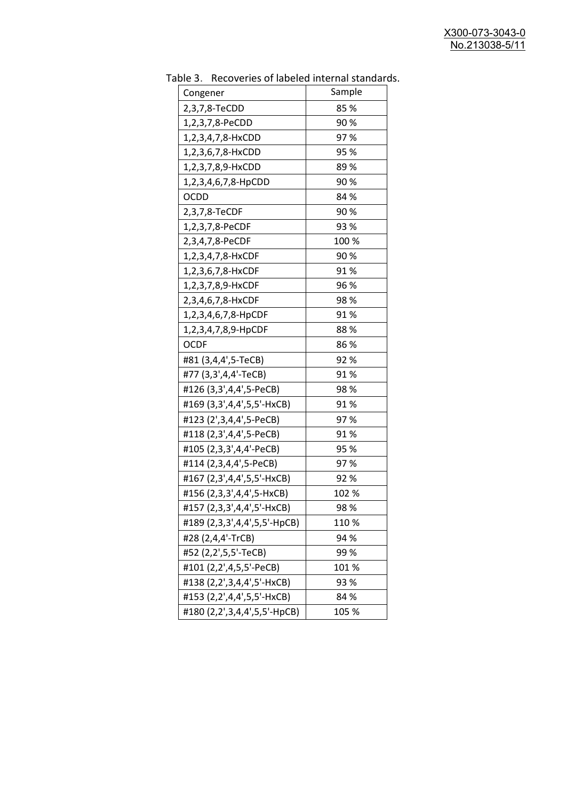| uwic J.<br>Recoveries of fabeled internal standar |        |
|---------------------------------------------------|--------|
| Congener                                          | Sample |
| 2,3,7,8-TeCDD                                     | 85 %   |
| 1,2,3,7,8-PeCDD                                   | 90%    |
| 1,2,3,4,7,8-HxCDD                                 | 97%    |
| 1,2,3,6,7,8-HxCDD                                 | 95 %   |
| 1,2,3,7,8,9-HxCDD                                 | 89%    |
| 1,2,3,4,6,7,8-HpCDD                               | 90%    |
| <b>OCDD</b>                                       | 84 %   |
| 2,3,7,8-TeCDF                                     | 90%    |
| 1,2,3,7,8-PeCDF                                   | 93 %   |
| 2,3,4,7,8-PeCDF                                   | 100 %  |
| 1,2,3,4,7,8-HxCDF                                 | 90%    |
| 1,2,3,6,7,8-HxCDF                                 | 91%    |
| 1,2,3,7,8,9-HxCDF                                 | 96 %   |
| 2,3,4,6,7,8-HxCDF                                 | 98%    |
| 1,2,3,4,6,7,8-HpCDF                               | 91%    |
| 1,2,3,4,7,8,9-HpCDF                               | 88%    |
| <b>OCDF</b>                                       | 86%    |
| #81 (3,4,4',5-TeCB)                               | 92%    |
| #77 (3,3',4,4'-TeCB)                              | 91%    |
| #126 (3,3',4,4',5-PeCB)                           | 98%    |
| #169 (3,3',4,4',5,5'-HxCB)                        | 91%    |
| #123 (2',3,4,4',5-PeCB)                           | 97%    |
| #118 (2,3',4,4',5-PeCB)                           | 91%    |
| #105 (2,3,3',4,4'-PeCB)                           | 95 %   |
| #114 (2,3,4,4',5-PeCB)                            | 97%    |
| #167 (2,3',4,4',5,5'-HxCB)                        | 92%    |
| #156 (2,3,3',4,4',5-HxCB)                         | 102 %  |
| #157 (2,3,3',4,4',5'-HxCB)                        | 98%    |
| #189 (2,3,3',4,4',5,5'-HpCB)                      | 110%   |
| #28 (2,4,4'-TrCB)                                 | 94 %   |
| #52 (2,2',5,5'-TeCB)                              | 99 %   |
| #101 (2,2',4,5,5'-PeCB)                           | 101%   |
| #138 (2,2',3,4,4',5'-HxCB)                        | 93 %   |
| #153 (2,2',4,4',5,5'-HxCB)                        | 84 %   |
| #180 (2,2',3,4,4',5,5'-HpCB)                      | 105 %  |

Table 3. Recoveries of labeled internal standards.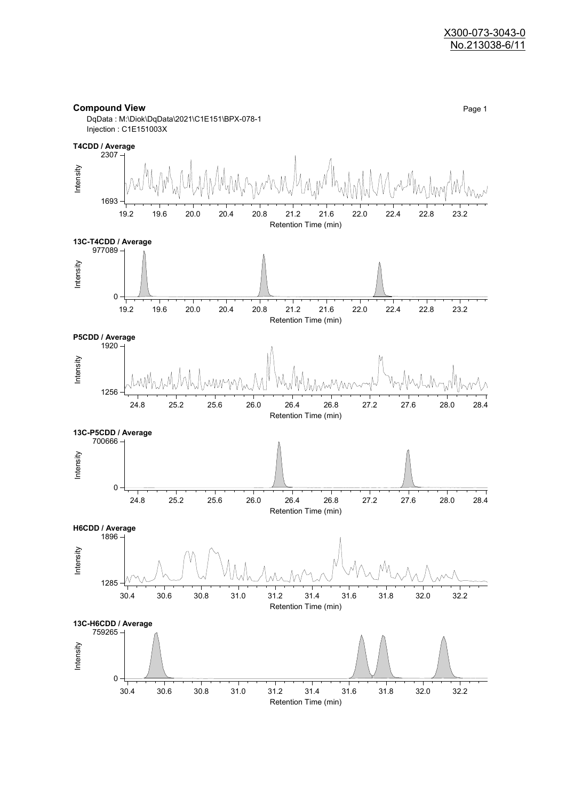#### **Compound View** Page 1

DqData : M:\Diok\DqData\2021\C1E151\BPX-078-1 Injection : C1E151003X

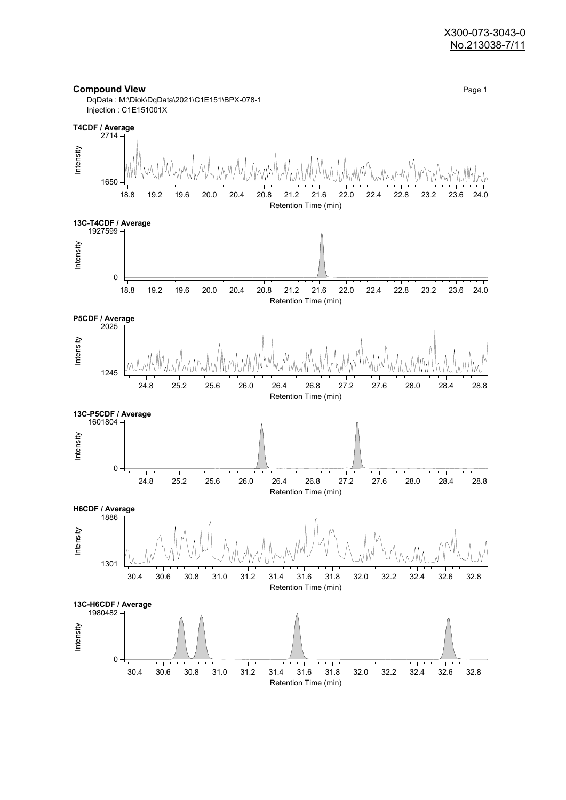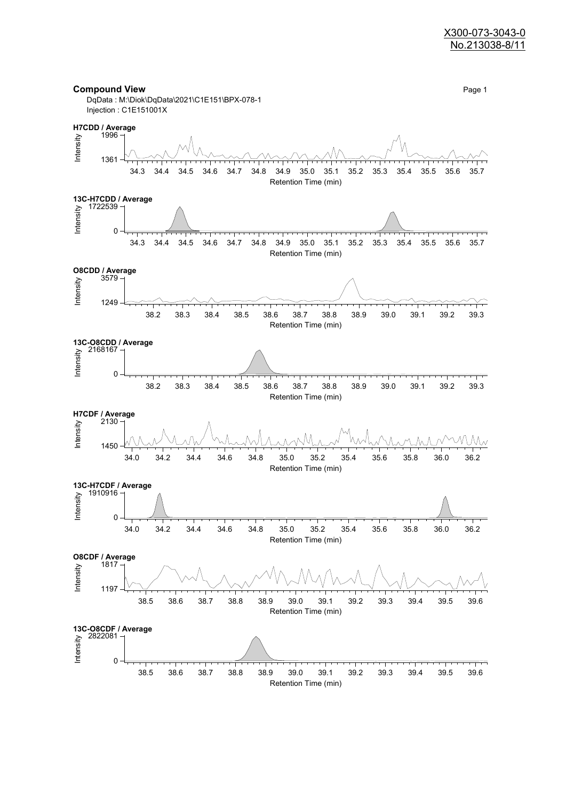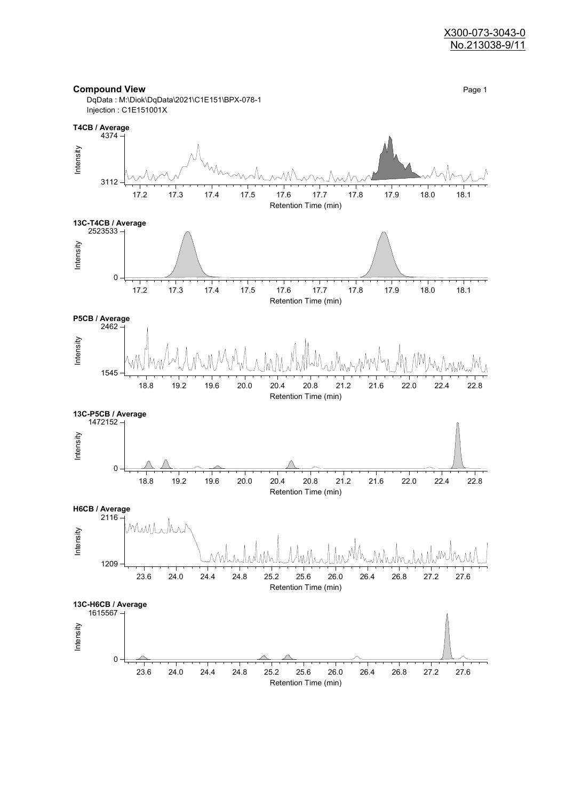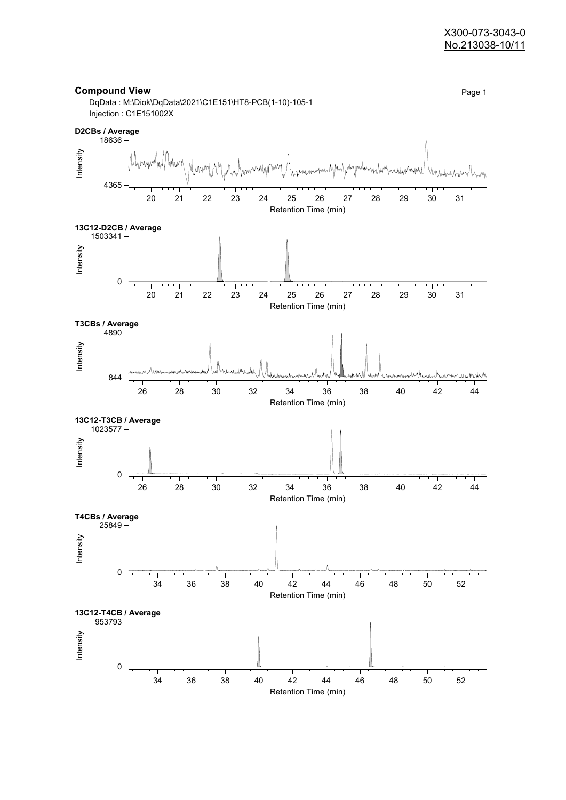